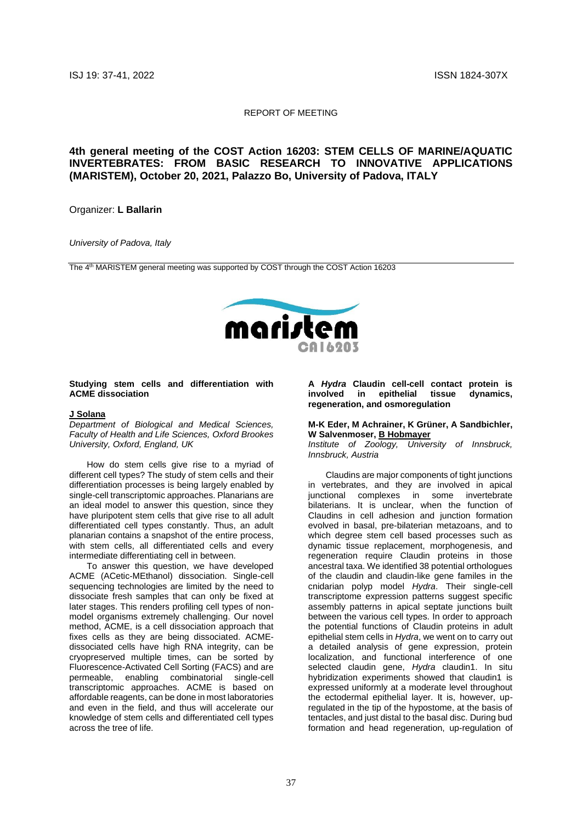### REPORT OF MEETING

# **4th general meeting of the COST Action 16203: STEM CELLS OF MARINE/AQUATIC INVERTEBRATES: FROM BASIC RESEARCH TO INNOVATIVE APPLICATIONS (MARISTEM), October 20, 2021, Palazzo Bo, University of Padova, ITALY**

## Organizer: **L Ballarin**

### *University of Padova, Italy*

The 4<sup>th</sup> MARISTEM general meeting was supported by COST through the COST Action 16203



### **Studying stem cells and differentiation with ACME dissociation**

#### **J Solana**

*Department of Biological and Medical Sciences, Faculty of Health and Life Sciences, Oxford Brookes University, Oxford, England, UK*

How do stem cells give rise to a myriad of different cell types? The study of stem cells and their differentiation processes is being largely enabled by single-cell transcriptomic approaches. Planarians are an ideal model to answer this question, since they have pluripotent stem cells that give rise to all adult differentiated cell types constantly. Thus, an adult planarian contains a snapshot of the entire process, with stem cells, all differentiated cells and every intermediate differentiating cell in between.

To answer this question, we have developed ACME (ACetic-MEthanol) dissociation. Single-cell sequencing technologies are limited by the need to dissociate fresh samples that can only be fixed at later stages. This renders profiling cell types of nonmodel organisms extremely challenging. Our novel method, ACME, is a cell dissociation approach that fixes cells as they are being dissociated. ACMEdissociated cells have high RNA integrity, can be cryopreserved multiple times, can be sorted by Fluorescence-Activated Cell Sorting (FACS) and are permeable, enabling combinatorial single-cell transcriptomic approaches. ACME is based on affordable reagents, can be done in most laboratories and even in the field, and thus will accelerate our knowledge of stem cells and differentiated cell types across the tree of life.

**A** *Hydra* **Claudin cell-cell contact protein is involved in epithelial tissue dynamics, regeneration, and osmoregulation**

#### **M-K Eder, M Achrainer, K Grüner, A Sandbichler, W Salvenmoser, B Hobmayer**

*Institute of Zoology, University of Innsbruck, Innsbruck, Austria*

Claudins are major components of tight junctions in vertebrates, and they are involved in apical junctional complexes in some invertebrate bilaterians. It is unclear, when the function of Claudins in cell adhesion and junction formation evolved in basal, pre-bilaterian metazoans, and to which degree stem cell based processes such as dynamic tissue replacement, morphogenesis, and regeneration require Claudin proteins in those ancestral taxa. We identified 38 potential orthologues of the claudin and claudin-like gene familes in the cnidarian polyp model *Hydra*. Their single-cell transcriptome expression patterns suggest specific assembly patterns in apical septate junctions built between the various cell types. In order to approach the potential functions of Claudin proteins in adult epithelial stem cells in *Hydra*, we went on to carry out a detailed analysis of gene expression, protein localization, and functional interference of one selected claudin gene, *Hydra* claudin1. In situ hybridization experiments showed that claudin1 is expressed uniformly at a moderate level throughout the ectodermal epithelial layer. It is, however, upregulated in the tip of the hypostome, at the basis of tentacles, and just distal to the basal disc. During bud formation and head regeneration, up-regulation of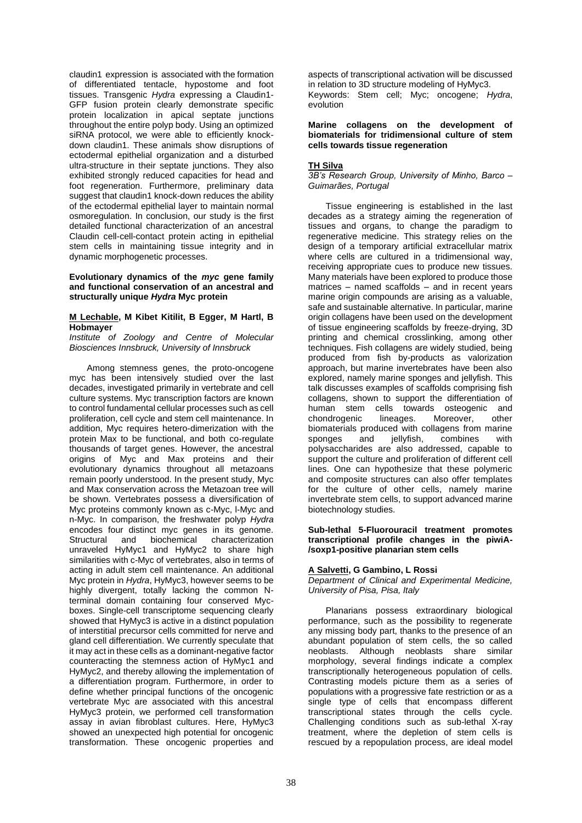claudin1 expression is associated with the formation of differentiated tentacle, hypostome and foot tissues. Transgenic *Hydra* expressing a Claudin1- GFP fusion protein clearly demonstrate specific protein localization in apical septate junctions throughout the entire polyp body. Using an optimized siRNA protocol, we were able to efficiently knockdown claudin1. These animals show disruptions of ectodermal epithelial organization and a disturbed ultra-structure in their septate junctions. They also exhibited strongly reduced capacities for head and foot regeneration. Furthermore, preliminary data suggest that claudin1 knock-down reduces the ability of the ectodermal epithelial layer to maintain normal osmoregulation. In conclusion, our study is the first detailed functional characterization of an ancestral Claudin cell-cell-contact protein acting in epithelial stem cells in maintaining tissue integrity and in dynamic morphogenetic processes.

## **Evolutionary dynamics of the** *myc* **gene family and functional conservation of an ancestral and structurally unique** *Hydra* **Myc protein**

#### **M Lechable, M Kibet Kitilit, B Egger, M Hartl, B Hobmayer**

*Institute of Zoology and Centre of Molecular Biosciences Innsbruck, University of Innsbruck*

Among stemness genes, the proto-oncogene myc has been intensively studied over the last decades, investigated primarily in vertebrate and cell culture systems. Myc transcription factors are known to control fundamental cellular processes such as cell proliferation, cell cycle and stem cell maintenance. In addition, Myc requires hetero-dimerization with the protein Max to be functional, and both co-regulate thousands of target genes. However, the ancestral origins of Myc and Max proteins and their evolutionary dynamics throughout all metazoans remain poorly understood. In the present study, Myc and Max conservation across the Metazoan tree will be shown. Vertebrates possess a diversification of Myc proteins commonly known as c-Myc, l-Myc and n-Myc. In comparison, the freshwater polyp *Hydra* encodes four distinct myc genes in its genome.<br>Structural and biochemical characterization Structural and biochemical characterization unraveled HyMyc1 and HyMyc2 to share high similarities with c-Myc of vertebrates, also in terms of acting in adult stem cell maintenance. An additional Myc protein in *Hydra*, HyMyc3, however seems to be highly divergent, totally lacking the common Nterminal domain containing four conserved Mycboxes. Single-cell transcriptome sequencing clearly showed that HyMyc3 is active in a distinct population of interstitial precursor cells committed for nerve and gland cell differentiation. We currently speculate that it may act in these cells as a dominant-negative factor counteracting the stemness action of HyMyc1 and HyMyc2, and thereby allowing the implementation of a differentiation program. Furthermore, in order to define whether principal functions of the oncogenic vertebrate Myc are associated with this ancestral HyMyc3 protein, we performed cell transformation assay in avian fibroblast cultures. Here, HyMyc3 showed an unexpected high potential for oncogenic transformation. These oncogenic properties and

aspects of transcriptional activation will be discussed in relation to 3D structure modeling of HyMyc3. Keywords: Stem cell; Myc; oncogene; *Hydra*, evolution

## **Marine collagens on the development of biomaterials for tridimensional culture of stem cells towards tissue regeneration**

## **TH Silva**

*3B's Research Group, University of Minho, Barco – Guimarães, Portugal*

Tissue engineering is established in the last decades as a strategy aiming the regeneration of tissues and organs, to change the paradigm to regenerative medicine. This strategy relies on the design of a temporary artificial extracellular matrix where cells are cultured in a tridimensional way. receiving appropriate cues to produce new tissues. Many materials have been explored to produce those matrices – named scaffolds – and in recent years marine origin compounds are arising as a valuable. safe and sustainable alternative. In particular, marine origin collagens have been used on the development of tissue engineering scaffolds by freeze-drying, 3D printing and chemical crosslinking, among other techniques. Fish collagens are widely studied, being produced from fish by-products as valorization approach, but marine invertebrates have been also explored, namely marine sponges and jellyfish. This talk discusses examples of scaffolds comprising fish collagens, shown to support the differentiation of human stem cells towards osteogenic and chondrogenic lineages. Moreover, other biomaterials produced with collagens from marine sponges and jellyfish, combines with polysaccharides are also addressed, capable to support the culture and proliferation of different cell lines. One can hypothesize that these polymeric and composite structures can also offer templates for the culture of other cells, namely marine invertebrate stem cells, to support advanced marine biotechnology studies.

## **Sub-lethal 5-Fluorouracil treatment promotes transcriptional profile changes in the piwiA- /soxp1-positive planarian stem cells**

## **A Salvetti, G Gambino, L Rossi**

*Department of Clinical and Experimental Medicine, University of Pisa, Pisa, Italy*

Planarians possess extraordinary biological performance, such as the possibility to regenerate any missing body part, thanks to the presence of an abundant population of stem cells, the so called neoblasts. Although neoblasts share similar morphology, several findings indicate a complex transcriptionally heterogeneous population of cells. Contrasting models picture them as a series of populations with a progressive fate restriction or as a single type of cells that encompass different transcriptional states through the cells cycle. Challenging conditions such as sub-lethal X-ray treatment, where the depletion of stem cells is rescued by a repopulation process, are ideal model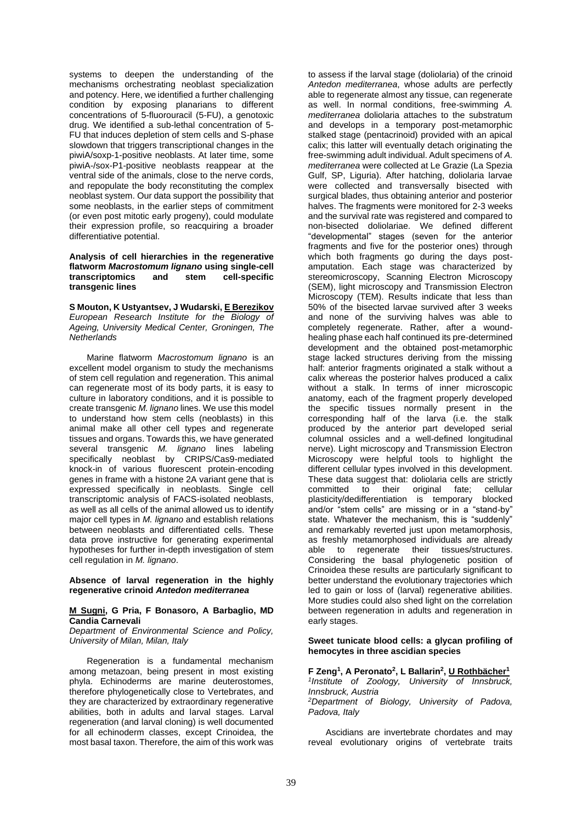systems to deepen the understanding of the mechanisms orchestrating neoblast specialization and potency. Here, we identified a further challenging condition by exposing planarians to different concentrations of 5-fluorouracil (5-FU), a genotoxic drug. We identified a sub-lethal concentration of 5- FU that induces depletion of stem cells and S-phase slowdown that triggers transcriptional changes in the piwiA/soxp-1-positive neoblasts. At later time, some piwiA-/sox-P1-positive neoblasts reappear at the ventral side of the animals, close to the nerve cords, and repopulate the body reconstituting the complex neoblast system. Our data support the possibility that some neoblasts, in the earlier steps of commitment (or even post mitotic early progeny), could modulate their expression profile, so reacquiring a broader differentiative potential.

## **Analysis of cell hierarchies in the regenerative flatworm** *Macrostomum lignano* **using single-cell transcriptomics and stem cell-specific transgenic lines**

**S Mouton, K Ustyantsev, J Wudarski, E Berezikov** *European Research Institute for the Biology of Ageing, University Medical Center, Groningen, The Netherlands*

Marine flatworm *Macrostomum lignano* is an excellent model organism to study the mechanisms of stem cell regulation and regeneration. This animal can regenerate most of its body parts, it is easy to culture in laboratory conditions, and it is possible to create transgenic *M. lignano* lines. We use this model to understand how stem cells (neoblasts) in this animal make all other cell types and regenerate tissues and organs. Towards this, we have generated several transgenic *M. lignano* lines labeling specifically neoblast by CRIPS/Cas9-mediated knock-in of various fluorescent protein-encoding genes in frame with a histone 2A variant gene that is expressed specifically in neoblasts. Single cell transcriptomic analysis of FACS-isolated neoblasts, as well as all cells of the animal allowed us to identify major cell types in *M. lignano* and establish relations between neoblasts and differentiated cells. These data prove instructive for generating experimental hypotheses for further in-depth investigation of stem cell regulation in *M. lignano*.

**Absence of larval regeneration in the highly regenerative crinoid** *Antedon mediterranea*

### **M Sugni, G Pria, F Bonasoro, A Barbaglio, MD Candia Carnevali**

*Department of Environmental Science and Policy, University of Milan, Milan, Italy*

Regeneration is a fundamental mechanism among metazoan, being present in most existing phyla. Echinoderms are marine deuterostomes, therefore phylogenetically close to Vertebrates, and they are characterized by extraordinary regenerative abilities, both in adults and larval stages. Larval regeneration (and larval cloning) is well documented for all echinoderm classes, except Crinoidea, the most basal taxon. Therefore, the aim of this work was

to assess if the larval stage (doliolaria) of the crinoid *Antedon mediterranea*, whose adults are perfectly able to regenerate almost any tissue, can regenerate as well. In normal conditions, free-swimming *A. mediterranea* doliolaria attaches to the substratum and develops in a temporary post-metamorphic stalked stage (pentacrinoid) provided with an apical calix; this latter will eventually detach originating the free-swimming adult individual. Adult specimens of *A. mediterranea* were collected at Le Grazie (La Spezia Gulf, SP, Liguria). After hatching, doliolaria larvae were collected and transversally bisected with surgical blades, thus obtaining anterior and posterior halves. The fragments were monitored for 2-3 weeks and the survival rate was registered and compared to non-bisected doliolariae. We defined different "developmental" stages (seven for the anterior fragments and five for the posterior ones) through which both fragments go during the days postamputation. Each stage was characterized by stereomicroscopy, Scanning Electron Microscopy (SEM), light microscopy and Transmission Electron Microscopy (TEM). Results indicate that less than 50% of the bisected larvae survived after 3 weeks and none of the surviving halves was able to completely regenerate. Rather, after a woundhealing phase each half continued its pre-determined development and the obtained post-metamorphic stage lacked structures deriving from the missing half: anterior fragments originated a stalk without a calix whereas the posterior halves produced a calix without a stalk. In terms of inner microscopic anatomy, each of the fragment properly developed the specific tissues normally present in the corresponding half of the larva (i.e. the stalk produced by the anterior part developed serial columnal ossicles and a well-defined longitudinal nerve). Light microscopy and Transmission Electron Microscopy were helpful tools to highlight the different cellular types involved in this development. These data suggest that: doliolaria cells are strictly<br>committed to their original fate; cellular committed to their original fate; cellular plasticity/dedifferentiation is temporary blocked and/or "stem cells" are missing or in a "stand-by" state. Whatever the mechanism, this is "suddenly" and remarkably reverted just upon metamorphosis, as freshly metamorphosed individuals are already able to regenerate their tissues/structures. Considering the basal phylogenetic position of Crinoidea these results are particularly significant to better understand the evolutionary trajectories which led to gain or loss of (larval) regenerative abilities. More studies could also shed light on the correlation between regeneration in adults and regeneration in early stages.

## **Sweet tunicate blood cells: a glycan profiling of hemocytes in three ascidian species**

**F Zeng<sup>1</sup> , A Peronato<sup>2</sup> , L Ballarin<sup>2</sup> , U Rothbächer<sup>1</sup>** *1 Institute of Zoology, University of Innsbruck, Innsbruck, Austria*

*<sup>2</sup>Department of Biology, University of Padova, Padova, Italy*

Ascidians are invertebrate chordates and may reveal evolutionary origins of vertebrate traits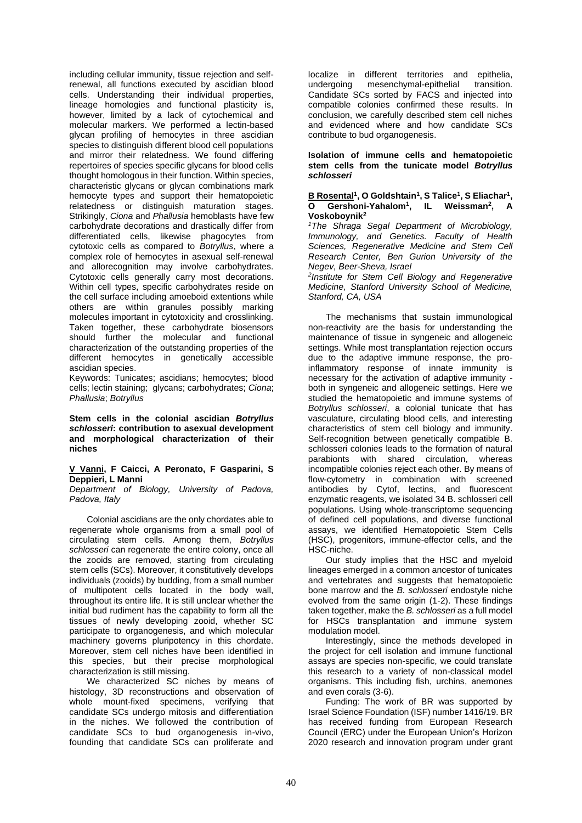including cellular immunity, tissue rejection and selfrenewal, all functions executed by ascidian blood cells. Understanding their individual properties, lineage homologies and functional plasticity is, however, limited by a lack of cytochemical and molecular markers. We performed a lectin-based glycan profiling of hemocytes in three ascidian species to distinguish different blood cell populations and mirror their relatedness. We found differing repertoires of species specific glycans for blood cells thought homologous in their function. Within species, characteristic glycans or glycan combinations mark hemocyte types and support their hematopoietic relatedness or distinguish maturation stages. Strikingly, *Ciona* and *Phallusia* hemoblasts have few carbohydrate decorations and drastically differ from differentiated cells, likewise phagocytes from cytotoxic cells as compared to *Botryllus*, where a complex role of hemocytes in asexual self-renewal and allorecognition may involve carbohydrates. Cytotoxic cells generally carry most decorations. Within cell types, specific carbohydrates reside on the cell surface including amoeboid extentions while others are within granules possibly marking molecules important in cytotoxicity and crosslinking. Taken together, these carbohydrate biosensors should further the molecular and functional characterization of the outstanding properties of the different hemocytes in genetically accessible ascidian species.

Keywords: Tunicates; ascidians; hemocytes; blood cells; lectin staining; glycans; carbohydrates; *Ciona*; *Phallusia*; *Botryllus*

**Stem cells in the colonial ascidian** *Botryllus schlosseri***: contribution to asexual development and morphological characterization of their niches**

### **V Vanni, F Caicci, A Peronato, F Gasparini, S Deppieri, L Manni**

*Department of Biology, University of Padova, Padova, Italy*

Colonial ascidians are the only chordates able to regenerate whole organisms from a small pool of circulating stem cells. Among them, *Botryllus schlosseri* can regenerate the entire colony, once all the zooids are removed, starting from circulating stem cells (SCs). Moreover, it constitutively develops individuals (zooids) by budding, from a small number of multipotent cells located in the body wall, throughout its entire life. It is still unclear whether the initial bud rudiment has the capability to form all the tissues of newly developing zooid, whether SC participate to organogenesis, and which molecular machinery governs pluripotency in this chordate. Moreover, stem cell niches have been identified in this species, but their precise morphological characterization is still missing.

We characterized SC niches by means of histology, 3D reconstructions and observation of whole mount-fixed specimens, verifying that candidate SCs undergo mitosis and differentiation in the niches. We followed the contribution of candidate SCs to bud organogenesis in-vivo, founding that candidate SCs can proliferate and

localize in different territories and epithelia, mesenchymal-epithelial transition. Candidate SCs sorted by FACS and injected into compatible colonies confirmed these results. In conclusion, we carefully described stem cell niches and evidenced where and how candidate SCs contribute to bud organogenesis.

## **Isolation of immune cells and hematopoietic stem cells from the tunicate model** *Botryllus schlosseri*

## **B Rosental<sup>1</sup> , O Goldshtain<sup>1</sup> , S Talice<sup>1</sup> , S Eliachar<sup>1</sup> , O Gershoni-Yahalom<sup>1</sup> , IL Weissman<sup>2</sup> , A Voskoboynik<sup>2</sup>**

*<sup>1</sup>The Shraga Segal Department of Microbiology, Immunology, and Genetics. Faculty of Health Sciences, Regenerative Medicine and Stem Cell Research Center, Ben Gurion University of the Negev, Beer-Sheva, Israel*

*2 Institute for Stem Cell Biology and Regenerative Medicine, Stanford University School of Medicine, Stanford, CA, USA*

The mechanisms that sustain immunological non-reactivity are the basis for understanding the maintenance of tissue in syngeneic and allogeneic settings. While most transplantation rejection occurs due to the adaptive immune response, the proinflammatory response of innate immunity is necessary for the activation of adaptive immunity both in syngeneic and allogeneic settings. Here we studied the hematopoietic and immune systems of *Botryllus schlosseri*, a colonial tunicate that has vasculature, circulating blood cells, and interesting characteristics of stem cell biology and immunity. Self-recognition between genetically compatible B. schlosseri colonies leads to the formation of natural parabionts with shared circulation, whereas incompatible colonies reject each other. By means of flow-cytometry in combination with screened antibodies by Cytof, lectins, and fluorescent enzymatic reagents, we isolated 34 B. schlosseri cell populations. Using whole-transcriptome sequencing of defined cell populations, and diverse functional assays, we identified Hematopoietic Stem Cells (HSC), progenitors, immune-effector cells, and the HSC-niche.

Our study implies that the HSC and myeloid lineages emerged in a common ancestor of tunicates and vertebrates and suggests that hematopoietic bone marrow and the *B. schlosseri* endostyle niche evolved from the same origin (1-2). These findings taken together, make the *B. schlosseri* as a full model for HSCs transplantation and immune system modulation model.

Interestingly, since the methods developed in the project for cell isolation and immune functional assays are species non-specific, we could translate this research to a variety of non-classical model organisms. This including fish, urchins, anemones and even corals (3-6).

Funding: The work of BR was supported by Israel Science Foundation (ISF) number 1416/19. BR has received funding from European Research Council (ERC) under the European Union's Horizon 2020 research and innovation program under grant